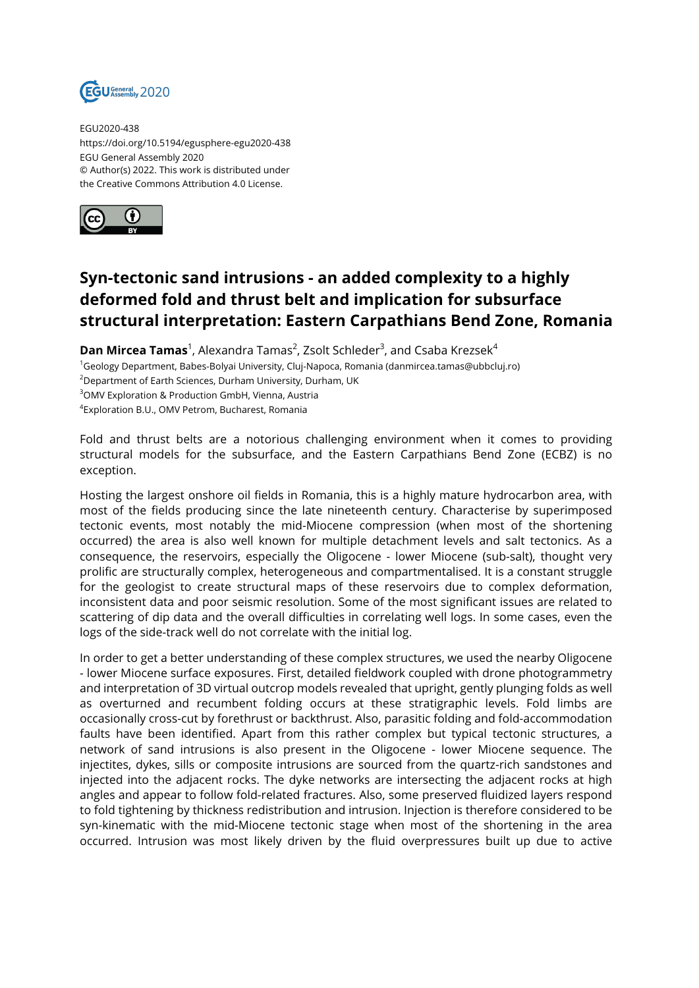

EGU2020-438 https://doi.org/10.5194/egusphere-egu2020-438 EGU General Assembly 2020 © Author(s) 2022. This work is distributed under the Creative Commons Attribution 4.0 License.



## **Syn-tectonic sand intrusions - an added complexity to a highly deformed fold and thrust belt and implication for subsurface structural interpretation: Eastern Carpathians Bend Zone, Romania**

**Dan Mircea Tamas**<sup>1</sup>, Alexandra Tamas<sup>2</sup>, Zsolt Schleder<sup>3</sup>, and Csaba Krezsek<sup>4</sup> <sup>1</sup>Geology Department, Babes-Bolyai University, Cluj-Napoca, Romania (danmircea.tamas@ubbcluj.ro) <sup>2</sup>Department of Earth Sciences, Durham University, Durham, UK <sup>3</sup>OMV Exploration & Production GmbH, Vienna, Austria 4 Exploration B.U., OMV Petrom, Bucharest, Romania

Fold and thrust belts are a notorious challenging environment when it comes to providing structural models for the subsurface, and the Eastern Carpathians Bend Zone (ECBZ) is no exception.

Hosting the largest onshore oil fields in Romania, this is a highly mature hydrocarbon area, with most of the fields producing since the late nineteenth century. Characterise by superimposed tectonic events, most notably the mid-Miocene compression (when most of the shortening occurred) the area is also well known for multiple detachment levels and salt tectonics. As a consequence, the reservoirs, especially the Oligocene - lower Miocene (sub-salt), thought very prolific are structurally complex, heterogeneous and compartmentalised. It is a constant struggle for the geologist to create structural maps of these reservoirs due to complex deformation, inconsistent data and poor seismic resolution. Some of the most significant issues are related to scattering of dip data and the overall difficulties in correlating well logs. In some cases, even the logs of the side-track well do not correlate with the initial log.

In order to get a better understanding of these complex structures, we used the nearby Oligocene - lower Miocene surface exposures. First, detailed fieldwork coupled with drone photogrammetry and interpretation of 3D virtual outcrop models revealed that upright, gently plunging folds as well as overturned and recumbent folding occurs at these stratigraphic levels. Fold limbs are occasionally cross-cut by forethrust or backthrust. Also, parasitic folding and fold-accommodation faults have been identified. Apart from this rather complex but typical tectonic structures, a network of sand intrusions is also present in the Oligocene - lower Miocene sequence. The injectites, dykes, sills or composite intrusions are sourced from the quartz-rich sandstones and injected into the adjacent rocks. The dyke networks are intersecting the adjacent rocks at high angles and appear to follow fold-related fractures. Also, some preserved fluidized layers respond to fold tightening by thickness redistribution and intrusion. Injection is therefore considered to be syn-kinematic with the mid-Miocene tectonic stage when most of the shortening in the area occurred. Intrusion was most likely driven by the fluid overpressures built up due to active